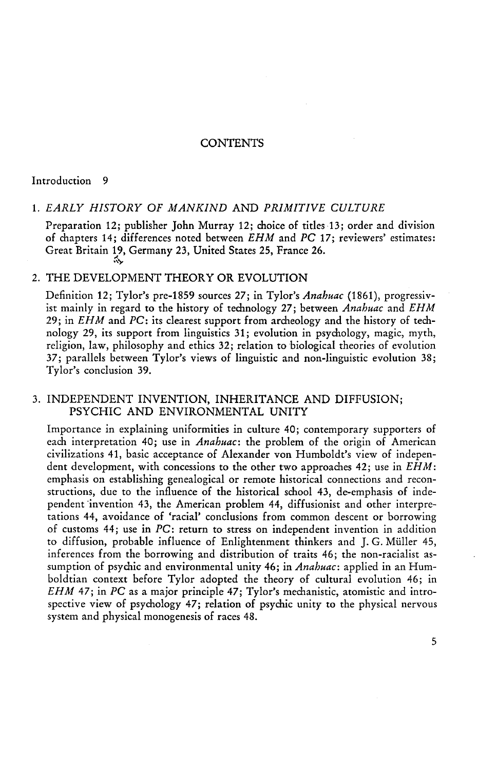### **CONTENTS**

#### Introduction 9

#### 1. *EARLY HISTORY OF MANKIND* AND *PRIMITIVE CULTURE*

Preparation 12; publisher John Murray 12; choice of titles 13; order and division of chapters 14; differences noted between *EH M* and *PC* 17; reviewers' estimates: Great Britain 19, Germany 23, United States 25, France 26. *&y* 

#### 2. THE DEVELOPMENT THEORY OR EVOLUTION

Definition 12; Tylor's pre-1859 sources 27; in Tylor's *Anakuac* (1861), progressivist mainly in regard to the history of technology 27; between *Anahuac* and *EHM*  29; in *EHM* and *PC:* its clearest support from archeology and the history of technology 29, its support from linguistics 31; evolution in psychology, magic, myth, religion, law, philosophy and ethics 32; relation to biological theories of evolution 37; parallels between Tylor's views of linguistic and non-linguistic evolution 38; Tylor's conclusion 39.

### 3. INDEPENDENT INVENTION, INHERITANCE AND DIFFUSION; PSYCHIC AND ENVIRONMENTAL UNITY

Importance in explaining uniformities in culture 40; contemporary supporters of each interpretation 40; use in *Anahuac*: the problem of the origin of American civilizations 41, basic acceptance of Alexander von Humboldt's view of independent development, with concessions to the other two approaches 42; use in *EHM:*  emphasis on establishing genealogical or remote historical connections and reconstructions, due to the influence of the historical school 43, de-emphasis of independent invention 43, the American problem 44, diffusionist and other interpretations 44, avoidance of 'racial' conclusions from common descent or borrowing of customs 44; use in *PC:* return to stress on independent invention in addition to diffusion, probable influence of Enlightenment thinkers and J. G. Müller 45, inferences from the borrowing and distribution of traits 46; the non-racialist assumption of psychic and environmental unity 46; in *Anahuac:* applied in an Humboldtian context before Tylor adopted the theory of cultural evolution 46; in *EHM* 47; in *PC* as a major principle 47 ; Tylor's mechanistic, atomistic and introspective view of psychology 47; relation of psychic unity to the physical nervous system and physical monogenesis of races 48.

5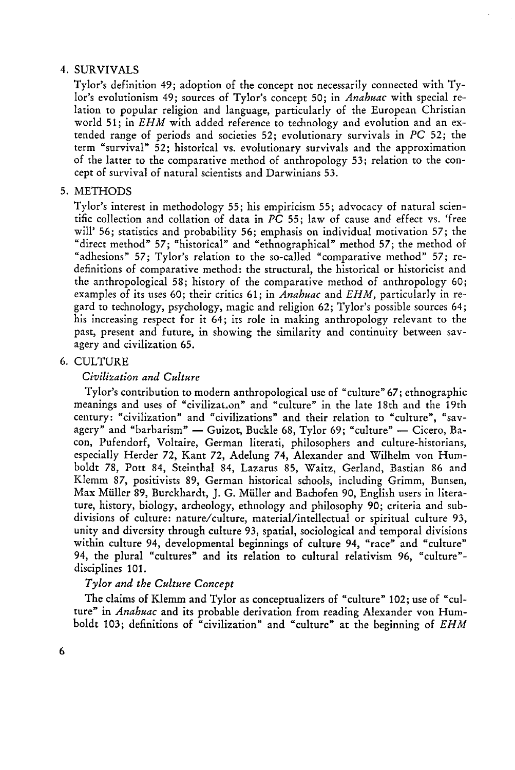# 4. SURVIVALS

Tylor's definition 49; adoption of the concept not necessarily connected with Tylor's evolutionism 49; sources of Tylor's concept 50; in *Anahuac* with special relation to popular religion and language, particularly of the European Christian world 51; in *EHM* with added reference to technology and evolution and an extended range of periods and societies 52; evolutionary survivals in *PC* 52; the term "survival" 52; historical vs. evolutionary survivals and the approximation of the latter to the comparative method of anthropology 53; relation to the concept of survival of natural scientists and Darwinians 53.

# 5. METHODS

Tylor's interest in methodology 55; his empiricism 55; advocacy of natural scientific collection and collation of data in *PC* 55; law of cause and effect vs. 'free will' 56; statistics and probability 56; emphasis on individual motivation 57; the "direct method" 57; "historical" and "ethnographical" method 57; the method of "adhesions" 57; Tylor's relation to the so-called "comparative method" 57; redefinitions of comparative method: the structural, the historical or historicist and the anthropological 58; history of the comparative method of anthropology 60; examples of its uses 60; their critics 61; in *Anahuac* and *EHM,* particularly in regard to technology, psychology, magic and religion 62; Tylor's possible sources 64; his increasing respect for it 64; its role in making anthropology relevant to the past, present and future, in showing the similarity and continuity between savagery and civilization 65.

## 6. CULTURE

## *Civilization and Culture*

Tylor's contribution to modern anthropological use of "culture" 67; ethnographic meanings and uses of "civilization" and "culture" in the late 18th and the 19th century: "civilization" and "civilizations" and their relation to "culture", "savagery" and "barbarism" — Guizot, Buckle 68, Tylor 69; "culture" — Cicero, Bacon, Pufendorf, Voltaire, German literati, philosophers and culture-historians, especially Herder 72, Kant 72, Adelung 74, Alexander and Wilhelm von Humboldt 78, Pott 84, Steinthal 84, Lazarus 85, Waitz, Gerland, Bastian 86 and Klemm 87, positivists 89, German historical schools, including Grimm, Bunsen, Max Müller 89, Burckhardt, J. G. Müller and Bachofen 90, English users in literature, history, biology, archeology, ethnology and philosophy 90; criteria and subdivisions of culture: nature/culture, material/intellectual or spiritual culture 93, unity and diversity through culture 93, spatial, sociological and temporal divisions within culture 94, developmental beginnings of culture 94, "race" and "culture" 94, the plural "cultures" and its relation to cultural relativism 96, "culture" disciplines 101.

# *Tylor and the Culture Concept*

The claims of Klemm and Tylor as conceptualizers of "culture" 102; use of "culture" in *Anahuac* and its probable derivation from reading Alexander von Humboldt 103; definitions of "civilization" and "culture" at the beginning of *EHM*